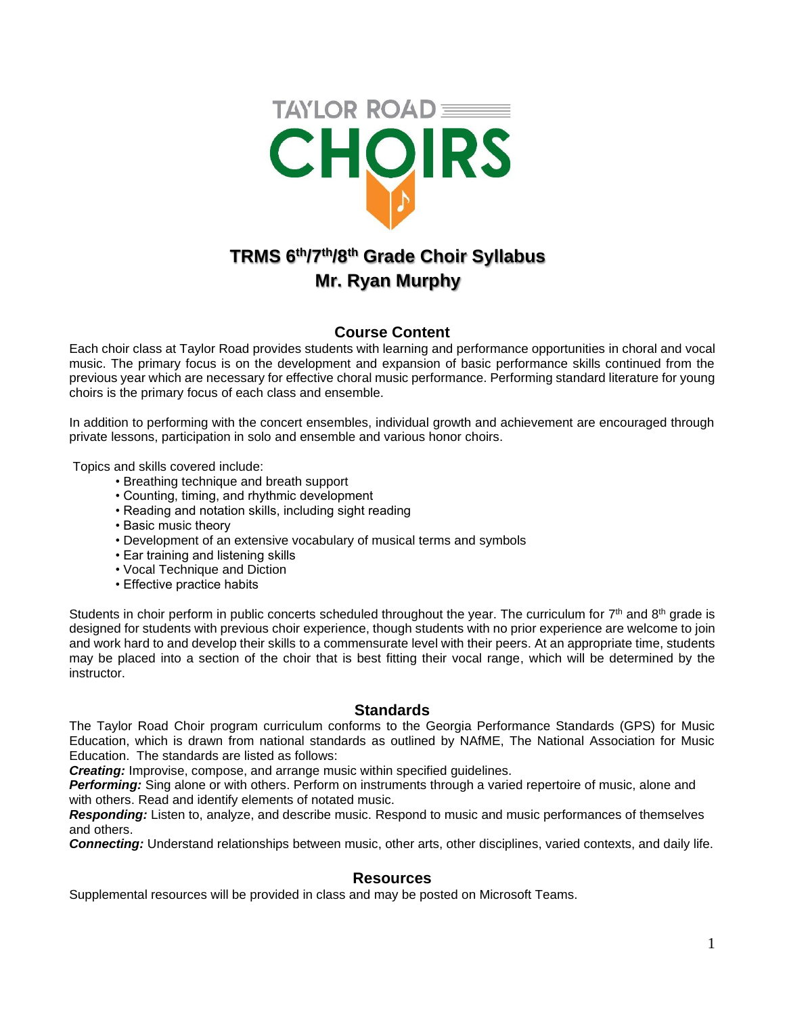

# **Mr. Ryan Murphy**

# **Course Content**

Each choir class at Taylor Road provides students with learning and performance opportunities in choral and vocal music. The primary focus is on the development and expansion of basic performance skills continued from the previous year which are necessary for effective choral music performance. Performing standard literature for young choirs is the primary focus of each class and ensemble.

In addition to performing with the concert ensembles, individual growth and achievement are encouraged through private lessons, participation in solo and ensemble and various honor choirs.

Topics and skills covered include:

- Breathing technique and breath support
- Counting, timing, and rhythmic development
- Reading and notation skills, including sight reading
- Basic music theory
- Development of an extensive vocabulary of musical terms and symbols
- Ear training and listening skills
- Vocal Technique and Diction
- Effective practice habits

Students in choir perform in public concerts scheduled throughout the year. The curriculum for 7<sup>th</sup> and 8<sup>th</sup> grade is designed for students with previous choir experience, though students with no prior experience are welcome to join and work hard to and develop their skills to a commensurate level with their peers. At an appropriate time, students may be placed into a section of the choir that is best fitting their vocal range, which will be determined by the instructor.

## **Standards**

The Taylor Road Choir program curriculum conforms to the Georgia Performance Standards (GPS) for Music Education, which is drawn from national standards as outlined by NAfME, The National Association for Music Education. The standards are listed as follows:

*Creating:* Improvise, compose, and arrange music within specified guidelines.

*Performing:* Sing alone or with others. Perform on instruments through a varied repertoire of music, alone and with others. Read and identify elements of notated music.

*Responding:* Listen to, analyze, and describe music. Respond to music and music performances of themselves and others.

*Connecting:* Understand relationships between music, other arts, other disciplines, varied contexts, and daily life.

## **Resources**

Supplemental resources will be provided in class and may be posted on Microsoft Teams.